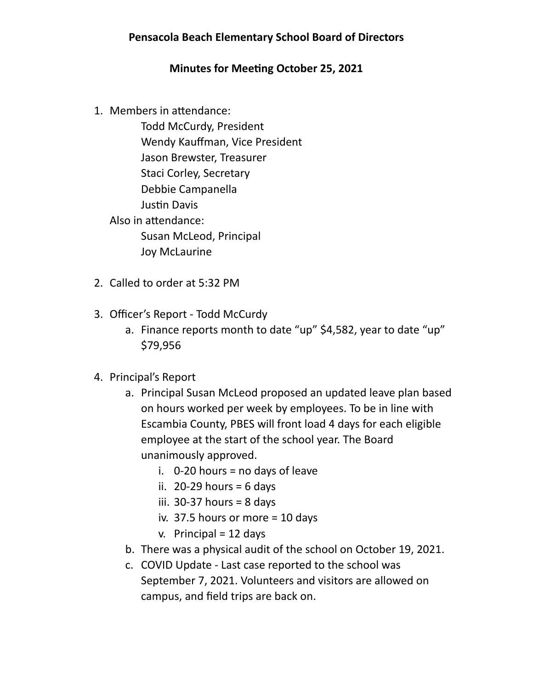## **Pensacola Beach Elementary School Board of Directors**

## **Minutes for Meeting October 25, 2021**

1. Members in attendance:

 Todd McCurdy, President Wendy Kauffman, Vice President Jason Brewster, Treasurer Staci Corley, Secretary Debbie Campanella Justin Davis Also in attendance: Susan McLeod, Principal Joy McLaurine

- 2. Called to order at 5:32 PM
- 3. Officer's Report Todd McCurdy
	- a. Finance reports month to date "up" \$4,582, year to date "up" \$79,956
- 4. Principal's Report
	- a. Principal Susan McLeod proposed an updated leave plan based on hours worked per week by employees. To be in line with Escambia County, PBES will front load 4 days for each eligible employee at the start of the school year. The Board unanimously approved.
		- i.  $0-20$  hours = no days of leave
		- ii. 20-29 hours  $= 6$  days
		- iii. 30-37 hours  $= 8$  days
		- iv. 37.5 hours or more = 10 days
		- $v.$  Principal = 12 days
	- b. There was a physical audit of the school on October 19, 2021.
	- c. COVID Update Last case reported to the school was September 7, 2021. Volunteers and visitors are allowed on campus, and field trips are back on.